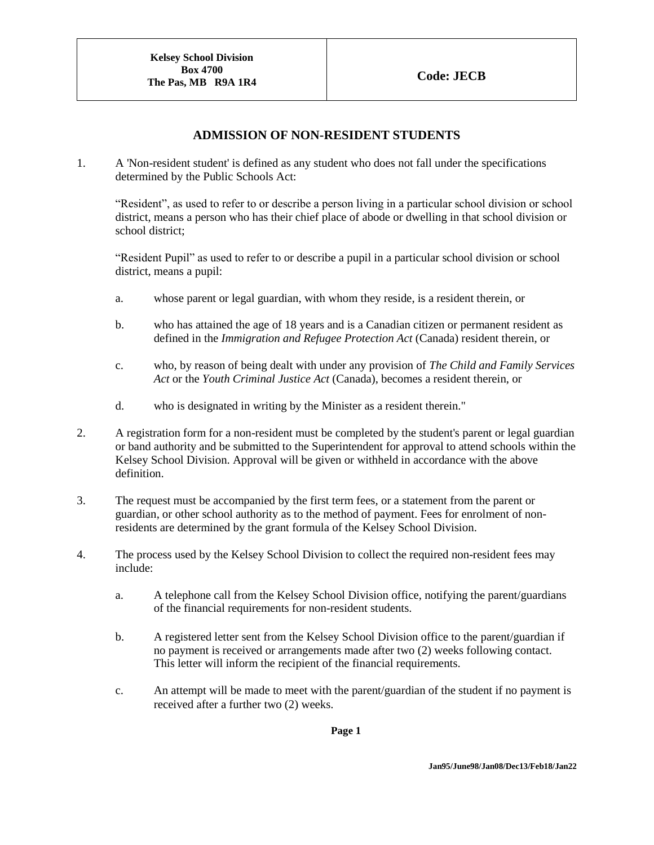## **ADMISSION OF NON-RESIDENT STUDENTS**

1. A 'Non-resident student' is defined as any student who does not fall under the specifications determined by the Public Schools Act:

"Resident", as used to refer to or describe a person living in a particular school division or school district, means a person who has their chief place of abode or dwelling in that school division or school district;

"Resident Pupil" as used to refer to or describe a pupil in a particular school division or school district, means a pupil:

- a. whose parent or legal guardian, with whom they reside, is a resident therein, or
- b. who has attained the age of 18 years and is a Canadian citizen or permanent resident as defined in the *Immigration and Refugee Protection Act* (Canada) resident therein, or
- c. who, by reason of being dealt with under any provision of *The Child and Family Services Act* or the *Youth Criminal Justice Act* (Canada), becomes a resident therein, or
- d. who is designated in writing by the Minister as a resident therein."
- 2. A registration form for a non-resident must be completed by the student's parent or legal guardian or band authority and be submitted to the Superintendent for approval to attend schools within the Kelsey School Division. Approval will be given or withheld in accordance with the above definition.
- 3. The request must be accompanied by the first term fees, or a statement from the parent or guardian, or other school authority as to the method of payment. Fees for enrolment of nonresidents are determined by the grant formula of the Kelsey School Division.
- 4. The process used by the Kelsey School Division to collect the required non-resident fees may include:
	- a. A telephone call from the Kelsey School Division office, notifying the parent/guardians of the financial requirements for non-resident students.
	- b. A registered letter sent from the Kelsey School Division office to the parent/guardian if no payment is received or arrangements made after two (2) weeks following contact. This letter will inform the recipient of the financial requirements.
	- c. An attempt will be made to meet with the parent/guardian of the student if no payment is received after a further two (2) weeks.

**Page 1**